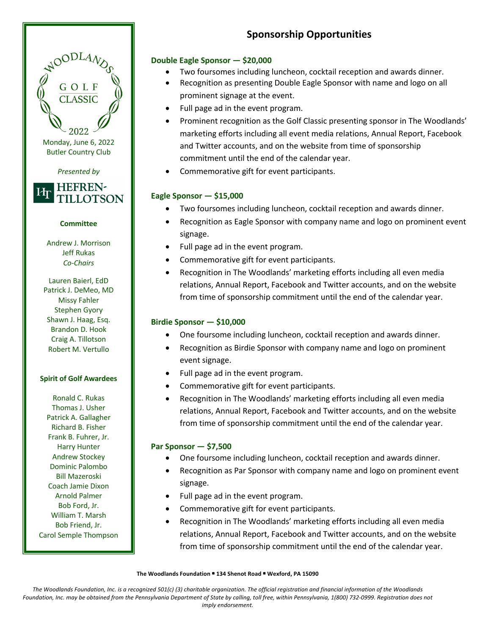# **Sponsorship Opportunities**

## **Double Eagle Sponsor — \$20,000**

- Two foursomes including luncheon, cocktail reception and awards dinner.
- Recognition as presenting Double Eagle Sponsor with name and logo on all prominent signage at the event.
- Full page ad in the event program.
- Prominent recognition as the Golf Classic presenting sponsor in The Woodlands' marketing efforts including all event media relations, Annual Report, Facebook and Twitter accounts, and on the website from time of sponsorship commitment until the end of the calendar year.
- Commemorative gift for event participants.

# **Eagle Sponsor — \$15,000**

- Two foursomes including luncheon, cocktail reception and awards dinner.
- Recognition as Eagle Sponsor with company name and logo on prominent event signage.
- Full page ad in the event program.
- Commemorative gift for event participants.
- Recognition in The Woodlands' marketing efforts including all even media relations, Annual Report, Facebook and Twitter accounts, and on the website from time of sponsorship commitment until the end of the calendar year.

# **Birdie Sponsor — \$10,000**

- One foursome including luncheon, cocktail reception and awards dinner.
- Recognition as Birdie Sponsor with company name and logo on prominent event signage.
- Full page ad in the event program.
- Commemorative gift for event participants.
- Recognition in The Woodlands' marketing efforts including all even media relations, Annual Report, Facebook and Twitter accounts, and on the website from time of sponsorship commitment until the end of the calendar year.

### **Par Sponsor — \$7,500**

- One foursome including luncheon, cocktail reception and awards dinner.
- Recognition as Par Sponsor with company name and logo on prominent event signage.
- Full page ad in the event program.
- Commemorative gift for event participants.
- Recognition in The Woodlands' marketing efforts including all even media relations, Annual Report, Facebook and Twitter accounts, and on the website from time of sponsorship commitment until the end of the calendar year.

**The Woodlands Foundation • 134 Shenot Road • Wexford, PA 15090**

Andrew J. Morrison Jeff Rukas *Co-Chairs* Lauren Baierl, EdD

**Committee**

Monday, June 6, 2022 Butler Country Club

NOODLAN

*Presented by*

**HEFREN-**

TILLOTSON

Иг

Patrick J. DeMeo, MD Missy Fahler Stephen Gyory Shawn J. Haag, Esq. Brandon D. Hook Craig A. Tillotson Robert M. Vertullo

### **Spirit of Golf Awardees**

Ronald C. Rukas Thomas J. Usher Patrick A. Gallagher Richard B. Fisher Frank B. Fuhrer, Jr. Harry Hunter Andrew Stockey Dominic Palombo Bill Mazeroski Coach Jamie Dixon Arnold Palmer Bob Ford, Jr. William T. Marsh Bob Friend, Jr. Carol Semple Thompson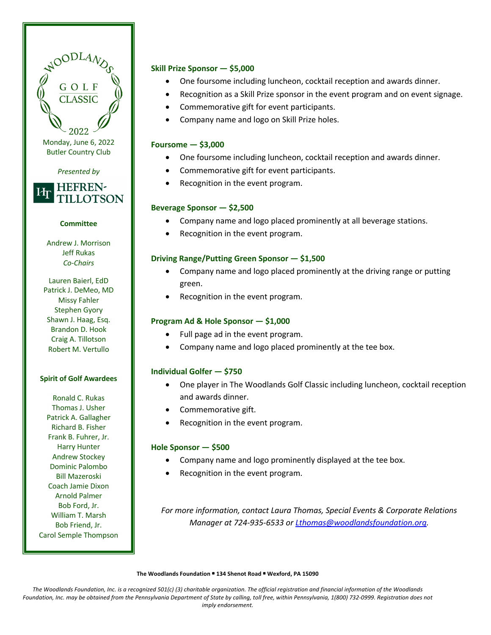#### **Skill Prize Sponsor — \$5,000**

- One foursome including luncheon, cocktail reception and awards dinner.
- Recognition as a Skill Prize sponsor in the event program and on event signage.
- Commemorative gift for event participants.
- Company name and logo on Skill Prize holes.

#### **Foursome — \$3,000**

- One foursome including luncheon, cocktail reception and awards dinner.
- Commemorative gift for event participants.
- Recognition in the event program.

#### **Beverage Sponsor — \$2,500**

- Company name and logo placed prominently at all beverage stations.
- Recognition in the event program.

#### **Driving Range/Putting Green Sponsor — \$1,500**

- Company name and logo placed prominently at the driving range or putting green.
- Recognition in the event program.

#### **Program Ad & Hole Sponsor — \$1,000**

- Full page ad in the event program.
- Company name and logo placed prominently at the tee box.

#### **Individual Golfer — \$750**

- One player in The Woodlands Golf Classic including luncheon, cocktail reception and awards dinner.
- Commemorative gift.
- Recognition in the event program.

#### **Hole Sponsor — \$500**

- Company name and logo prominently displayed at the tee box.
- Recognition in the event program.

*For more information, contact Laura Thomas, Special Events & Corporate Relations Manager at 724-935-6533 or Lthomas@woodlandsfoundation.org.*

**The Woodlands Foundation • 134 Shenot Road • Wexford, PA 15090**

The Woodlands Foundation, Inc. is a recognized 501(c) (3) charitable organization. The official registration and *financial information of the Woodlands Foundation, Inc. may be obtained from the Pennsylvania Department of State by calling, toll free, within Pennsylvania, 1(800) 732-0999. Registration does not imply endorsement.*

Andrew J. Morrison Jeff Rukas

**Committee**

Monday, June 6, 2022 Butler Country Club

NOODLAY

*Presented by*

**HEFREN-**

TILLOTSON

Иг

*Co-Chairs*

Lauren Baierl, EdD Patrick J. DeMeo, MD Missy Fahler Stephen Gyory Shawn J. Haag, Esq. Brandon D. Hook Craig A. Tillotson Robert M. Vertullo

#### **Spirit of Golf Awardees**

Ronald C. Rukas Thomas J. Usher Patrick A. Gallagher Richard B. Fisher Frank B. Fuhrer, Jr. Harry Hunter Andrew Stockey Dominic Palombo Bill Mazeroski Coach Jamie Dixon Arnold Palmer Bob Ford, Jr. William T. Marsh Bob Friend, Jr. Carol Semple Thompson